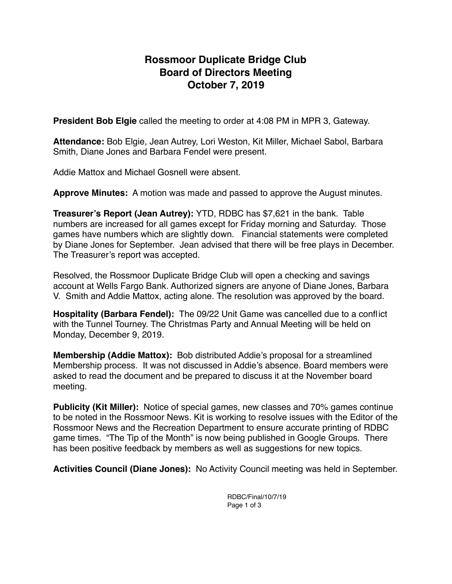# **Rossmoor Duplicate Bridge Club Board of Directors Meeting October 7, 2019**

**President Bob Elgie** called the meeting to order at 4:08 PM in MPR 3, Gateway.

**Attendance:** Bob Elgie, Jean Autrey, Lori Weston, Kit Miller, Michael Sabol, Barbara Smith, Diane Jones and Barbara Fendel were present.

Addie Mattox and Michael Gosnell were absent.

**Approve Minutes:** A motion was made and passed to approve the August minutes.

**Treasurer's Report (Jean Autrey):** YTD, RDBC has \$7,621 in the bank. Table numbers are increased for all games except for Friday morning and Saturday. Those games have numbers which are slightly down. Financial statements were completed by Diane Jones for September. Jean advised that there will be free plays in December. The Treasurer's report was accepted.

Resolved, the Rossmoor Duplicate Bridge Club will open a checking and savings account at Wells Fargo Bank. Authorized signers are anyone of Diane Jones, Barbara V. Smith and Addie Mattox, acting alone. The resolution was approved by the board.

**Hospitality (Barbara Fendel):** The 09/22 Unit Game was cancelled due to a conflict with the Tunnel Tourney. The Christmas Party and Annual Meeting will be held on Monday, December 9, 2019.

**Membership (Addie Mattox):** Bob distributed Addie's proposal for a streamlined Membership process. It was not discussed in Addie's absence. Board members were asked to read the document and be prepared to discuss it at the November board meeting.

**Publicity (Kit Miller):** Notice of special games, new classes and 70% games continue to be noted in the Rossmoor News. Kit is working to resolve issues with the Editor of the Rossmoor News and the Recreation Department to ensure accurate printing of RDBC game times. "The Tip of the Month" is now being published in Google Groups. There has been positive feedback by members as well as suggestions for new topics.

**Activities Council (Diane Jones):** No Activity Council meeting was held in September.

RDBC/Final/10/7/19 Page 1 of 3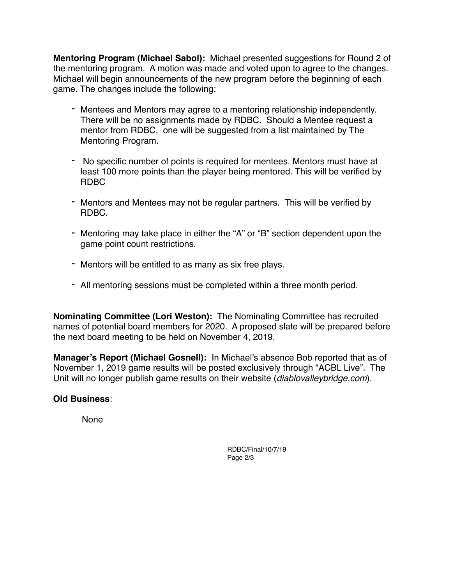**Mentoring Program (Michael Sabol):** Michael presented suggestions for Round 2 of the mentoring program. A motion was made and voted upon to agree to the changes. Michael will begin announcements of the new program before the beginning of each game. The changes include the following:

- *-* Mentees and Mentors may agree to a mentoring relationship independently. There will be no assignments made by RDBC. Should a Mentee request a mentor from RDBC, one will be suggested from a list maintained by The Mentoring Program.
- *-* No specific number of points is required for mentees. Mentors must have at least 100 more points than the player being mentored. This will be verified by RDBC
- *-* Mentors and Mentees may not be regular partners. This will be verified by RDBC.
- *-* Mentoring may take place in either the "A" or "B" section dependent upon the game point count restrictions.
- *-* Mentors will be entitled to as many as six free plays.
- *-* All mentoring sessions must be completed within a three month period.

**Nominating Committee (Lori Weston):** The Nominating Committee has recruited names of potential board members for 2020. A proposed slate will be prepared before the next board meeting to be held on November 4, 2019.

**Manager's Report (Michael Gosnell):** In Michael's absence Bob reported that as of November 1, 2019 game results will be posted exclusively through "ACBL Live". The Unit will no longer publish game results on their website (*[diablovalleybridge.com](http://diablovalleybridge.com)*).

# **Old Business**:

None

RDBC/Final/10/7/19 Page 2/3